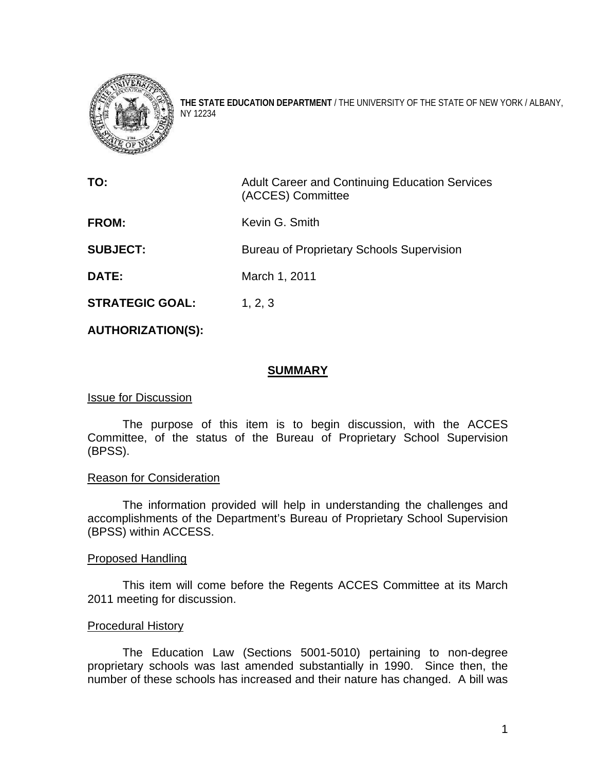

**THE STATE EDUCATION DEPARTMENT** / THE UNIVERSITY OF THE STATE OF NEW YORK / ALBANY, NY 12234

**TO:** Adult Career and Continuing Education Services (ACCES) Committee **FROM:** Kevin G. Smith **SUBJECT:** Bureau of Proprietary Schools Supervision **DATE:** March 1, 2011 **STRATEGIC GOAL:** 1, 2, 3

## **AUTHORIZATION(S):**

#### **SUMMARY**

#### Issue for Discussion

The purpose of this item is to begin discussion, with the ACCES Committee, of the status of the Bureau of Proprietary School Supervision (BPSS).

#### Reason for Consideration

The information provided will help in understanding the challenges and accomplishments of the Department's Bureau of Proprietary School Supervision (BPSS) within ACCESS.

#### Proposed Handling

This item will come before the Regents ACCES Committee at its March 2011 meeting for discussion.

#### Procedural History

The Education Law (Sections 5001-5010) pertaining to non-degree proprietary schools was last amended substantially in 1990. Since then, the number of these schools has increased and their nature has changed. A bill was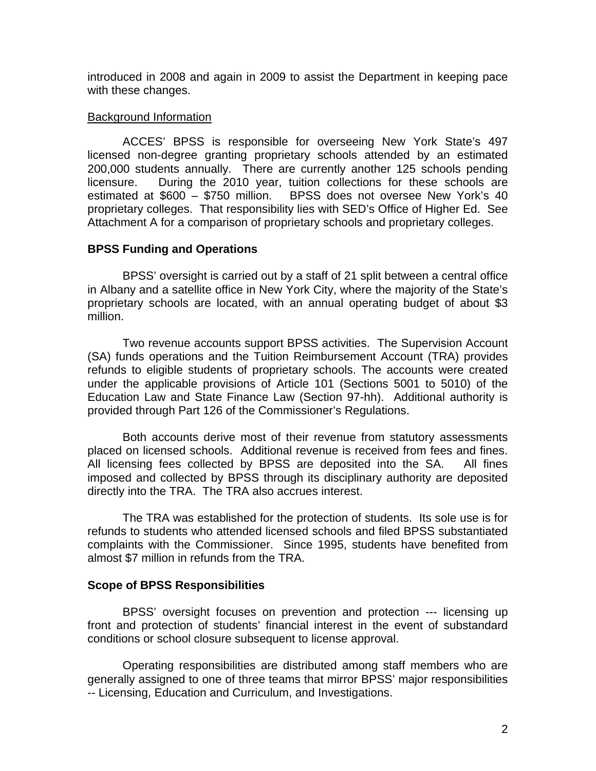introduced in 2008 and again in 2009 to assist the Department in keeping pace with these changes.

## Background Information

ACCES' BPSS is responsible for overseeing New York State's 497 licensed non-degree granting proprietary schools attended by an estimated 200,000 students annually. There are currently another 125 schools pending licensure. During the 2010 year, tuition collections for these schools are estimated at \$600 – \$750 million. BPSS does not oversee New York's 40 proprietary colleges. That responsibility lies with SED's Office of Higher Ed. See Attachment A for a comparison of proprietary schools and proprietary colleges.

# **BPSS Funding and Operations**

BPSS' oversight is carried out by a staff of 21 split between a central office in Albany and a satellite office in New York City, where the majority of the State's proprietary schools are located, with an annual operating budget of about \$3 million.

Two revenue accounts support BPSS activities. The Supervision Account (SA) funds operations and the Tuition Reimbursement Account (TRA) provides refunds to eligible students of proprietary schools. The accounts were created under the applicable provisions of Article 101 (Sections 5001 to 5010) of the Education Law and State Finance Law (Section 97-hh). Additional authority is provided through Part 126 of the Commissioner's Regulations.

Both accounts derive most of their revenue from statutory assessments placed on licensed schools. Additional revenue is received from fees and fines. All licensing fees collected by BPSS are deposited into the SA. All fines imposed and collected by BPSS through its disciplinary authority are deposited directly into the TRA. The TRA also accrues interest.

 The TRA was established for the protection of students. Its sole use is for refunds to students who attended licensed schools and filed BPSS substantiated complaints with the Commissioner. Since 1995, students have benefited from almost \$7 million in refunds from the TRA.

# **Scope of BPSS Responsibilities**

BPSS' oversight focuses on prevention and protection --- licensing up front and protection of students' financial interest in the event of substandard conditions or school closure subsequent to license approval.

 Operating responsibilities are distributed among staff members who are generally assigned to one of three teams that mirror BPSS' major responsibilities -- Licensing, Education and Curriculum, and Investigations.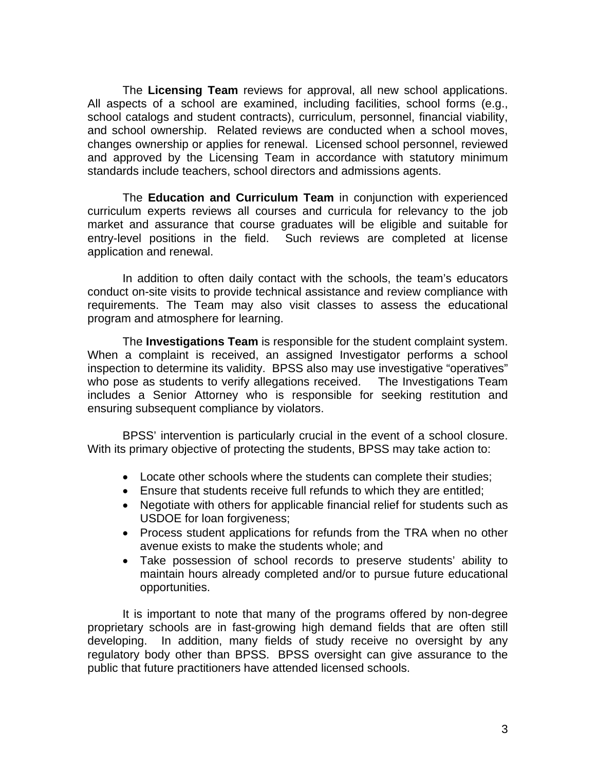The **Licensing Team** reviews for approval, all new school applications. All aspects of a school are examined, including facilities, school forms (e.g., school catalogs and student contracts), curriculum, personnel, financial viability, and school ownership. Related reviews are conducted when a school moves, changes ownership or applies for renewal. Licensed school personnel, reviewed and approved by the Licensing Team in accordance with statutory minimum standards include teachers, school directors and admissions agents.

The **Education and Curriculum Team** in conjunction with experienced curriculum experts reviews all courses and curricula for relevancy to the job market and assurance that course graduates will be eligible and suitable for entry-level positions in the field. Such reviews are completed at license application and renewal.

In addition to often daily contact with the schools, the team's educators conduct on-site visits to provide technical assistance and review compliance with requirements. The Team may also visit classes to assess the educational program and atmosphere for learning.

The **Investigations Team** is responsible for the student complaint system. When a complaint is received, an assigned Investigator performs a school inspection to determine its validity. BPSS also may use investigative "operatives" who pose as students to verify allegations received. The Investigations Team includes a Senior Attorney who is responsible for seeking restitution and ensuring subsequent compliance by violators.

BPSS' intervention is particularly crucial in the event of a school closure. With its primary objective of protecting the students, BPSS may take action to:

- Locate other schools where the students can complete their studies;
- Ensure that students receive full refunds to which they are entitled;
- Negotiate with others for applicable financial relief for students such as USDOE for loan forgiveness;
- Process student applications for refunds from the TRA when no other avenue exists to make the students whole; and
- Take possession of school records to preserve students' ability to maintain hours already completed and/or to pursue future educational opportunities.

It is important to note that many of the programs offered by non-degree proprietary schools are in fast-growing high demand fields that are often still developing. In addition, many fields of study receive no oversight by any regulatory body other than BPSS. BPSS oversight can give assurance to the public that future practitioners have attended licensed schools.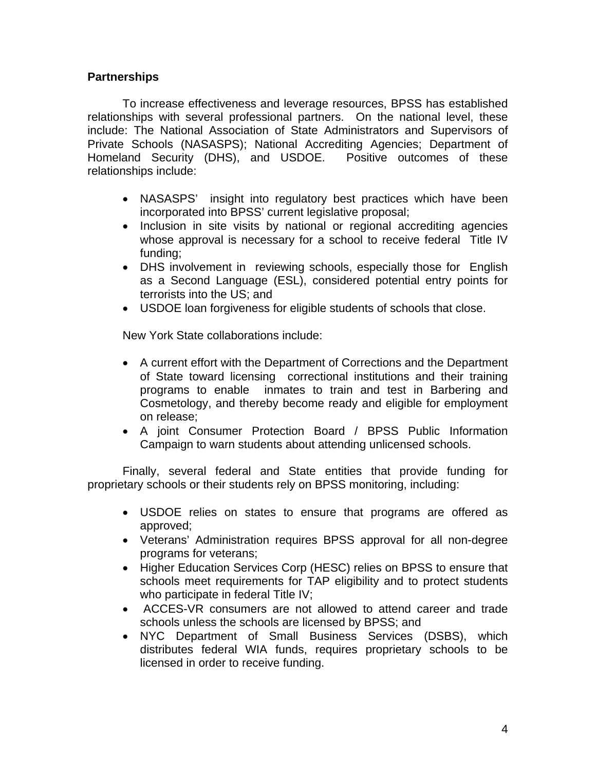# **Partnerships**

To increase effectiveness and leverage resources, BPSS has established relationships with several professional partners. On the national level, these include: The National Association of State Administrators and Supervisors of Private Schools (NASASPS); National Accrediting Agencies; Department of Homeland Security (DHS), and USDOE. Positive outcomes of these relationships include:

- NASASPS' insight into regulatory best practices which have been incorporated into BPSS' current legislative proposal;
- Inclusion in site visits by national or regional accrediting agencies whose approval is necessary for a school to receive federal Title IV funding;
- DHS involvement in reviewing schools, especially those for English as a Second Language (ESL), considered potential entry points for terrorists into the US; and
- USDOE loan forgiveness for eligible students of schools that close.

New York State collaborations include:

- A current effort with the Department of Corrections and the Department of State toward licensing correctional institutions and their training programs to enable inmates to train and test in Barbering and Cosmetology, and thereby become ready and eligible for employment on release;
- A joint Consumer Protection Board / BPSS Public Information Campaign to warn students about attending unlicensed schools.

Finally, several federal and State entities that provide funding for proprietary schools or their students rely on BPSS monitoring, including:

- USDOE relies on states to ensure that programs are offered as approved;
- Veterans' Administration requires BPSS approval for all non-degree programs for veterans;
- Higher Education Services Corp (HESC) relies on BPSS to ensure that schools meet requirements for TAP eligibility and to protect students who participate in federal Title IV;
- ACCES-VR consumers are not allowed to attend career and trade schools unless the schools are licensed by BPSS; and
- NYC Department of Small Business Services (DSBS), which distributes federal WIA funds, requires proprietary schools to be licensed in order to receive funding.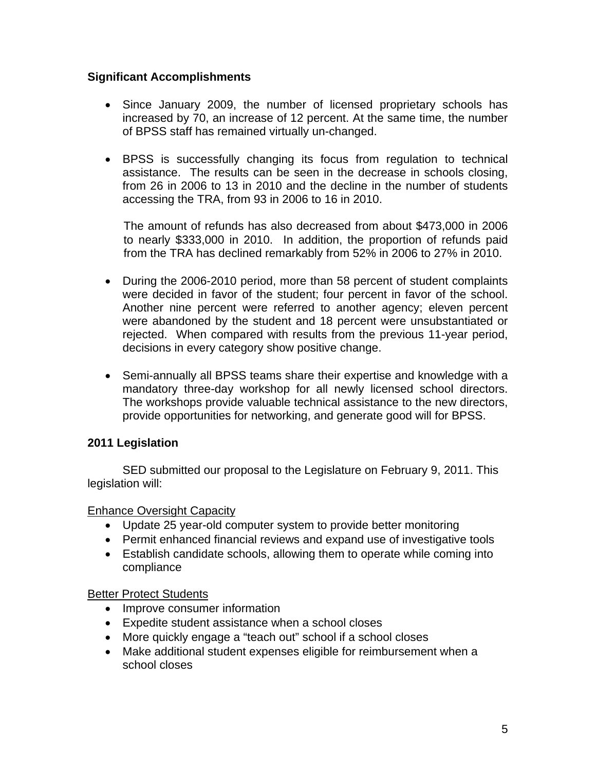# **Significant Accomplishments**

- Since January 2009, the number of licensed proprietary schools has increased by 70, an increase of 12 percent. At the same time, the number of BPSS staff has remained virtually un-changed.
- BPSS is successfully changing its focus from regulation to technical assistance. The results can be seen in the decrease in schools closing, from 26 in 2006 to 13 in 2010 and the decline in the number of students accessing the TRA, from 93 in 2006 to 16 in 2010.

The amount of refunds has also decreased from about \$473,000 in 2006 to nearly \$333,000 in 2010. In addition, the proportion of refunds paid from the TRA has declined remarkably from 52% in 2006 to 27% in 2010.

- During the 2006-2010 period, more than 58 percent of student complaints were decided in favor of the student; four percent in favor of the school. Another nine percent were referred to another agency; eleven percent were abandoned by the student and 18 percent were unsubstantiated or rejected. When compared with results from the previous 11-year period, decisions in every category show positive change.
- Semi-annually all BPSS teams share their expertise and knowledge with a mandatory three-day workshop for all newly licensed school directors. The workshops provide valuable technical assistance to the new directors, provide opportunities for networking, and generate good will for BPSS.

# **2011 Legislation**

SED submitted our proposal to the Legislature on February 9, 2011. This legislation will:

# Enhance Oversight Capacity

- Update 25 year-old computer system to provide better monitoring
- Permit enhanced financial reviews and expand use of investigative tools
- Establish candidate schools, allowing them to operate while coming into compliance

# Better Protect Students

- Improve consumer information
- Expedite student assistance when a school closes
- More quickly engage a "teach out" school if a school closes
- Make additional student expenses eligible for reimbursement when a school closes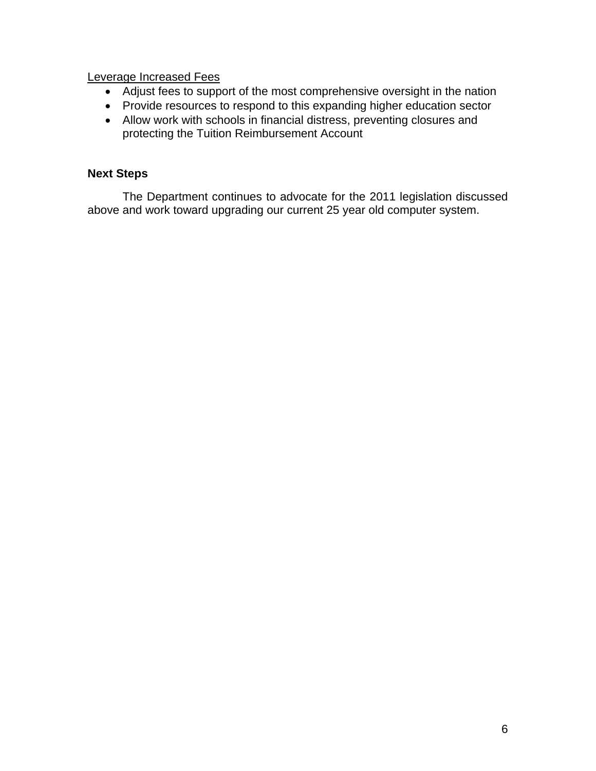Leverage Increased Fees

- Adjust fees to support of the most comprehensive oversight in the nation
- Provide resources to respond to this expanding higher education sector
- Allow work with schools in financial distress, preventing closures and protecting the Tuition Reimbursement Account

# **Next Steps**

The Department continues to advocate for the 2011 legislation discussed above and work toward upgrading our current 25 year old computer system.